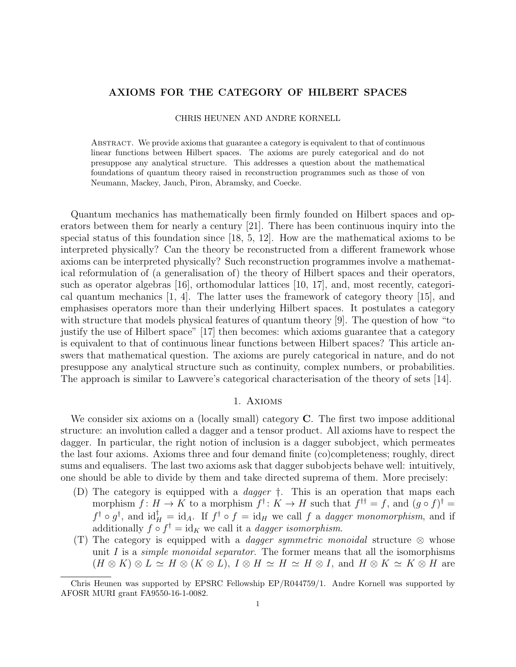## AXIOMS FOR THE CATEGORY OF HILBERT SPACES

### CHRIS HEUNEN AND ANDRE KORNELL

Abstract. We provide axioms that guarantee a category is equivalent to that of continuous linear functions between Hilbert spaces. The axioms are purely categorical and do not presuppose any analytical structure. This addresses a question about the mathematical foundations of quantum theory raised in reconstruction programmes such as those of von Neumann, Mackey, Jauch, Piron, Abramsky, and Coecke.

Quantum mechanics has mathematically been firmly founded on Hilbert spaces and operators between them for nearly a century [21]. There has been continuous inquiry into the special status of this foundation since [18, 5, 12]. How are the mathematical axioms to be interpreted physically? Can the theory be reconstructed from a different framework whose axioms can be interpreted physically? Such reconstruction programmes involve a mathematical reformulation of (a generalisation of) the theory of Hilbert spaces and their operators, such as operator algebras [16], orthomodular lattices [10, 17], and, most recently, categorical quantum mechanics [1, 4]. The latter uses the framework of category theory [15], and emphasises operators more than their underlying Hilbert spaces. It postulates a category with structure that models physical features of quantum theory [9]. The question of how "to justify the use of Hilbert space" [17] then becomes: which axioms guarantee that a category is equivalent to that of continuous linear functions between Hilbert spaces? This article answers that mathematical question. The axioms are purely categorical in nature, and do not presuppose any analytical structure such as continuity, complex numbers, or probabilities. The approach is similar to Lawvere's categorical characterisation of the theory of sets [14].

## 1. Axioms

We consider six axioms on a (locally small) category **C**. The first two impose additional structure: an involution called a dagger and a tensor product. All axioms have to respect the dagger. In particular, the right notion of inclusion is a dagger subobject, which permeates the last four axioms. Axioms three and four demand finite (co)completeness; roughly, direct sums and equalisers. The last two axioms ask that dagger subobjects behave well: intuitively, one should be able to divide by them and take directed suprema of them. More precisely:

- (D) The category is equipped with a dagger †. This is an operation that maps each morphism  $f: H \to K$  to a morphism  $f^{\dagger}: K \to H$  such that  $f^{\dagger \dagger} = f$ , and  $(g \circ f)^{\dagger} =$  $f^{\dagger} \circ g^{\dagger}$ , and  $\mathrm{id}_{H}^{\dagger} = \mathrm{id}_{A}$ . If  $f^{\dagger} \circ f = \mathrm{id}_{H}$  we call f a *dagger monomorphism*, and if additionally  $f \circ f^{\dagger} = id_K$  we call it a *dagger isomorphism*.
- (T) The category is equipped with a *dagger symmetric monoidal* structure  $\otimes$  whose unit I is a *simple monoidal separator*. The former means that all the isomorphisms  $(H \otimes K) \otimes L \simeq H \otimes (K \otimes L), I \otimes H \simeq H \simeq H \otimes I$ , and  $H \otimes K \simeq K \otimes H$  are

Chris Heunen was supported by EPSRC Fellowship EP/R044759/1. Andre Kornell was supported by AFOSR MURI grant FA9550-16-1-0082.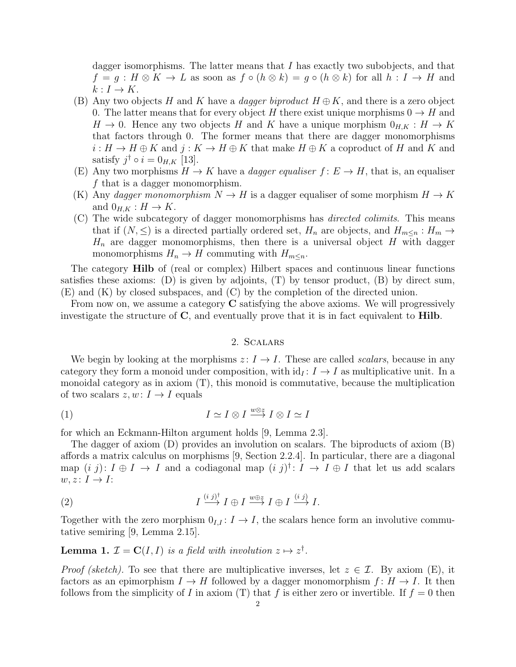dagger isomorphisms. The latter means that  $I$  has exactly two subobjects, and that  $f = g : H \otimes K \to L$  as soon as  $f \circ (h \otimes k) = g \circ (h \otimes k)$  for all  $h : I \to H$  and  $k: I \to K$ .

- (B) Any two objects H and K have a *dagger biproduct*  $H \oplus K$ , and there is a zero object 0. The latter means that for every object H there exist unique morphisms  $0 \to H$  and  $H \to 0$ . Hence any two objects H and K have a unique morphism  $0_{H,K}: H \to K$ that factors through 0. The former means that there are dagger monomorphisms  $i: H \to H \oplus K$  and  $j: K \to H \oplus K$  that make  $H \oplus K$  a coproduct of H and K and satisfy  $j^{\dagger} \circ i = 0_{H,K}$  [13].
- (E) Any two morphisms  $H \to K$  have a *dagger equaliser*  $f: E \to H$ , that is, an equaliser f that is a dagger monomorphism.
- (K) Any dagger monomorphism  $N \to H$  is a dagger equaliser of some morphism  $H \to K$ and  $0_{H,K}: H \to K$ .
- (C) The wide subcategory of dagger monomorphisms has directed colimits. This means that if  $(N, \leq)$  is a directed partially ordered set,  $H_n$  are objects, and  $H_{m \leq n} : H_m \to$  $H_n$  are dagger monomorphisms, then there is a universal object H with dagger monomorphisms  $H_n \to H$  commuting with  $H_{m \leq n}$ .

The category Hilb of (real or complex) Hilbert spaces and continuous linear functions satisfies these axioms: (D) is given by adjoints,  $(T)$  by tensor product,  $(B)$  by direct sum, (E) and (K) by closed subspaces, and (C) by the completion of the directed union.

From now on, we assume a category C satisfying the above axioms. We will progressively investigate the structure of  $C$ , and eventually prove that it is in fact equivalent to **Hilb**.

## 2. Scalars

We begin by looking at the morphisms  $z: I \to I$ . These are called scalars, because in any category they form a monoid under composition, with  $id_I : I \to I$  as multiplicative unit. In a monoidal category as in axiom  $(T)$ , this monoid is commutative, because the multiplication of two scalars  $z, w: I \rightarrow I$  equals

$$
(1) \tI \simeq I \otimes I \xrightarrow{w \otimes z} I \otimes I \simeq I
$$

for which an Eckmann-Hilton argument holds [9, Lemma 2.3].

The dagger of axiom (D) provides an involution on scalars. The biproducts of axiom (B) affords a matrix calculus on morphisms [9, Section 2.2.4]. In particular, there are a diagonal map  $(i, j): I \oplus I \to I$  and a codiagonal map  $(i, j)$ <sup>†</sup>:  $I \to I \oplus I$  that let us add scalars  $w, z \colon I \to I$ :

(2) 
$$
I \xrightarrow{(i j)^{\dagger}} I \oplus I \xrightarrow{w \oplus z} I \oplus I \xrightarrow{(i j)} I.
$$

Together with the zero morphism  $0_{I,I}: I \to I$ , the scalars hence form an involutive commutative semiring [9, Lemma 2.15].

**Lemma 1.**  $\mathcal{I} = \mathbf{C}(I, I)$  is a field with involution  $z \mapsto z^{\dagger}$ .

*Proof (sketch)*. To see that there are multiplicative inverses, let  $z \in \mathcal{I}$ . By axiom (E), it factors as an epimorphism  $I \to H$  followed by a dagger monomorphism  $f: H \to I$ . It then follows from the simplicity of I in axiom (T) that f is either zero or invertible. If  $f = 0$  then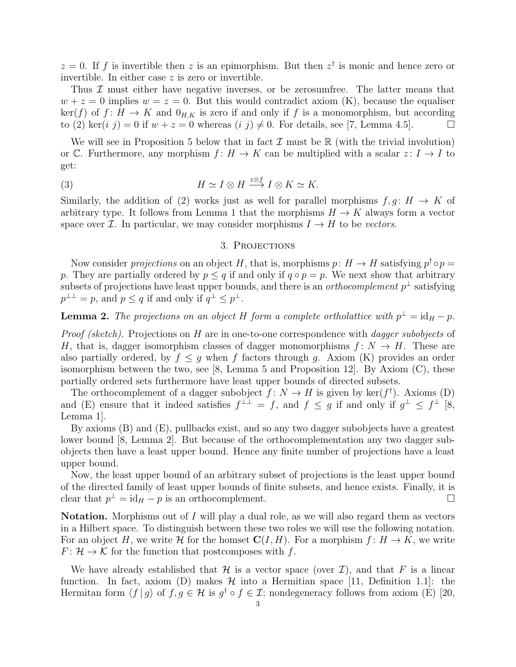$z = 0$ . If f is invertible then z is an epimorphism. But then  $z^{\dagger}$  is monic and hence zero or invertible. In either case z is zero or invertible.

Thus  $\mathcal I$  must either have negative inverses, or be zerosumfree. The latter means that  $w + z = 0$  implies  $w = z = 0$ . But this would contradict axiom (K), because the equaliser  $\ker(f)$  of  $f: H \to K$  and  $0_{H,K}$  is zero if and only if f is a monomorphism, but according to (2) ker(i j) = 0 if  $w + z = 0$  whereas (i j)  $\neq 0$ . For details, see [7, Lemma 4.5].

We will see in Proposition 5 below that in fact  $\mathcal I$  must be  $\mathbb R$  (with the trivial involution) or C. Furthermore, any morphism  $f: H \to K$  can be multiplied with a scalar  $z: I \to I$  to get:

(3) 
$$
H \simeq I \otimes H \xrightarrow{z \otimes f} I \otimes K \simeq K.
$$

Similarly, the addition of (2) works just as well for parallel morphisms  $f, g \colon H \to K$  of arbitrary type. It follows from Lemma 1 that the morphisms  $H \to K$  always form a vector space over *I*. In particular, we may consider morphisms  $I \rightarrow H$  to be vectors.

## 3. PROJECTIONS

Now consider *projections* on an object H, that is, morphisms  $p: H \to H$  satisfying  $p^{\dagger} \circ p =$ p. They are partially ordered by  $p \leq q$  if and only if  $q \circ p = p$ . We next show that arbitrary subsets of projections have least upper bounds, and there is an *orthocomplement*  $p^{\perp}$  satisfying  $p^{\perp \perp} = p$ , and  $p \leq q$  if and only if  $q^{\perp} \leq p^{\perp}$ .

**Lemma 2.** The projections on an object H form a complete ortholattice with  $p^{\perp} = id_H - p$ .

*Proof (sketch)*. Projections on H are in one-to-one correspondence with *dagger subobjects* of H, that is, dagger isomorphism classes of dagger monomorphisms  $f: N \to H$ . These are also partially ordered, by  $f \leq q$  when f factors through q. Axiom (K) provides an order isomorphism between the two, see [8, Lemma 5 and Proposition 12]. By Axiom  $(C)$ , these partially ordered sets furthermore have least upper bounds of directed subsets.

The orthocomplement of a dagger subobject  $f: N \to H$  is given by ker $(f^{\dagger})$ . Axioms (D) and (E) ensure that it indeed satisfies  $f^{\perp \perp} = f$ , and  $f \leq g$  if and only if  $g^{\perp} \leq f^{\perp}$  [8, Lemma 1].

By axioms (B) and (E), pullbacks exist, and so any two dagger subobjects have a greatest lower bound [8, Lemma 2]. But because of the orthocomplementation any two dagger subobjects then have a least upper bound. Hence any finite number of projections have a least upper bound.

Now, the least upper bound of an arbitrary subset of projections is the least upper bound of the directed family of least upper bounds of finite subsets, and hence exists. Finally, it is clear that  $p^{\perp} = id_H - p$  is an orthocomplement.

**Notation.** Morphisms out of I will play a dual role, as we will also regard them as vectors in a Hilbert space. To distinguish between these two roles we will use the following notation. For an object H, we write H for the homset  $\mathbf{C}(I, H)$ . For a morphism  $f: H \to K$ , we write  $F: \mathcal{H} \to \mathcal{K}$  for the function that postcomposes with f.

We have already established that  $\mathcal H$  is a vector space (over  $\mathcal I$ ), and that F is a linear function. In fact, axiom (D) makes  $\mathcal H$  into a Hermitian space [11, Definition 1.1]: the Hermitan form  $\langle f | g \rangle$  of  $f, g \in \mathcal{H}$  is  $g^{\dagger} \circ f \in \mathcal{I}$ ; nondegeneracy follows from axiom (E) [20,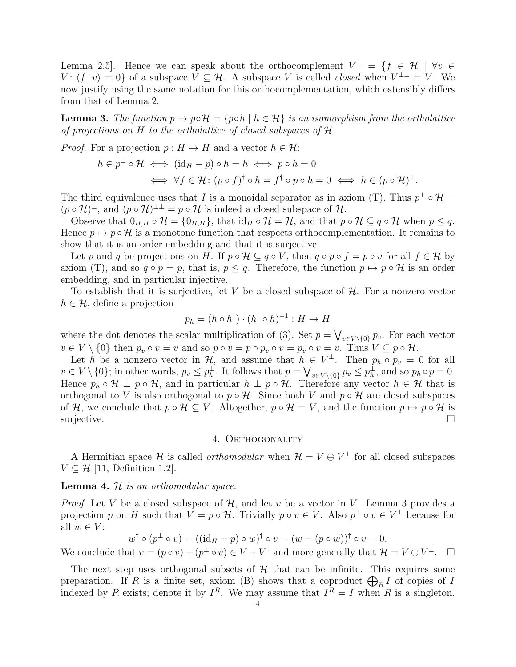Lemma 2.5. Hence we can speak about the orthocomplement  $V^{\perp} = \{f \in \mathcal{H} \mid \forall v \in \mathcal{U} \mid \forall v \in V\}$  $V: \langle f | v \rangle = 0$  of a subspace  $V \subseteq \mathcal{H}$ . A subspace V is called *closed* when  $V^{\perp \perp} = V$ . We now justify using the same notation for this orthocomplementation, which ostensibly differs from that of Lemma 2.

**Lemma 3.** The function  $p \mapsto p \circ \mathcal{H} = \{p \circ h \mid h \in \mathcal{H}\}\$ is an isomorphism from the ortholattice of projections on H to the ortholattice of closed subspaces of H.

*Proof.* For a projection  $p : H \to H$  and a vector  $h \in \mathcal{H}$ :

$$
h \in p^{\perp} \circ \mathcal{H} \iff (\mathrm{id}_{H} - p) \circ h = h \iff p \circ h = 0
$$
  

$$
\iff \forall f \in \mathcal{H} : (p \circ f)^{\dagger} \circ h = f^{\dagger} \circ p \circ h = 0 \iff h \in (p \circ \mathcal{H})^{\perp}.
$$

The third equivalence uses that I is a monoidal separator as in axiom (T). Thus  $p^{\perp} \circ \mathcal{H} =$  $(p \circ \mathcal{H})^{\perp}$ , and  $(p \circ \mathcal{H})^{\perp \perp} = p \circ \mathcal{H}$  is indeed a closed subspace of  $\mathcal{H}$ .

Observe that  $0_{H,H} \circ \mathcal{H} = \{0_{H,H}\}\$ , that  $\mathrm{id}_H \circ \mathcal{H} = \mathcal{H}$ , and that  $p \circ \mathcal{H} \subseteq q \circ \mathcal{H}$  when  $p \leq q$ . Hence  $p \mapsto p \circ \mathcal{H}$  is a monotone function that respects orthocomplementation. It remains to show that it is an order embedding and that it is surjective.

Let p and q be projections on H. If  $p \circ \mathcal{H} \subseteq q \circ V$ , then  $q \circ p \circ f = p \circ v$  for all  $f \in \mathcal{H}$  by axiom (T), and so  $q \circ p = p$ , that is,  $p \leq q$ . Therefore, the function  $p \mapsto p \circ \mathcal{H}$  is an order embedding, and in particular injective.

To establish that it is surjective, let V be a closed subspace of  $H$ . For a nonzero vector  $h \in \mathcal{H}$ , define a projection

$$
p_h = (h \circ h^{\dagger}) \cdot (h^{\dagger} \circ h)^{-1} : H \to H
$$

where the dot denotes the scalar multiplication of (3). Set  $p = \bigvee_{v \in V \setminus \{0\}} p_v$ . For each vector  $v \in V \setminus \{0\}$  then  $p_v \circ v = v$  and so  $p \circ v = p \circ p_v \circ v = p_v \circ v = v$ . Thus  $V \subseteq p \circ \mathcal{H}$ .

Let h be a nonzero vector in  $\mathcal{H}$ , and assume that  $h \in V^{\perp}$ . Then  $p_h \circ p_v = 0$  for all  $v \in V \setminus \{0\};$  in other words,  $p_v \leq p_h^{\perp}$ . It follows that  $p = \bigvee_{v \in V \setminus \{0\}} p_v \leq p_h^{\perp}$ , and so  $p_h \circ p = 0$ . Hence  $p_h \circ \mathcal{H} \perp p \circ \mathcal{H}$ , and in particular  $h \perp p \circ \mathcal{H}$ . Therefore any vector  $h \in \mathcal{H}$  that is orthogonal to V is also orthogonal to  $p \circ \mathcal{H}$ . Since both V and  $p \circ \mathcal{H}$  are closed subspaces of H, we conclude that  $p \circ \mathcal{H} \subseteq V$ . Altogether,  $p \circ \mathcal{H} = V$ , and the function  $p \mapsto p \circ \mathcal{H}$  is surjective.  $\Box$ 

### 4. ORTHOGONALITY

A Hermitian space H is called *orthomodular* when  $\mathcal{H} = V \oplus V^{\perp}$  for all closed subspaces  $V \subseteq \mathcal{H}$  [11, Definition 1.2].

## **Lemma 4.**  $H$  is an orthomodular space.

*Proof.* Let V be a closed subspace of  $H$ , and let v be a vector in V. Lemma 3 provides a projection p on H such that  $V = p \circ \mathcal{H}$ . Trivially  $p \circ v \in V$ . Also  $p^{\perp} \circ v \in V^{\perp}$  because for all  $w \in V$ :

$$
w^{\dagger} \circ (p^{\perp} \circ v) = ((\mathrm{id}_{H} - p) \circ w)^{\dagger} \circ v = (w - (p \circ w))^{\dagger} \circ v = 0.
$$

We conclude that  $v = (p \circ v) + (p^{\perp} \circ v) \in V + V^{\dagger}$  and more generally that  $\mathcal{H} = V \oplus V^{\perp}$ .  $\Box$ 

The next step uses orthogonal subsets of  $H$  that can be infinite. This requires some preparation. If R is a finite set, axiom (B) shows that a coproduct  $\bigoplus_R I$  of copies of I indexed by R exists; denote it by  $I^R$ . We may assume that  $I^R = I$  when R is a singleton.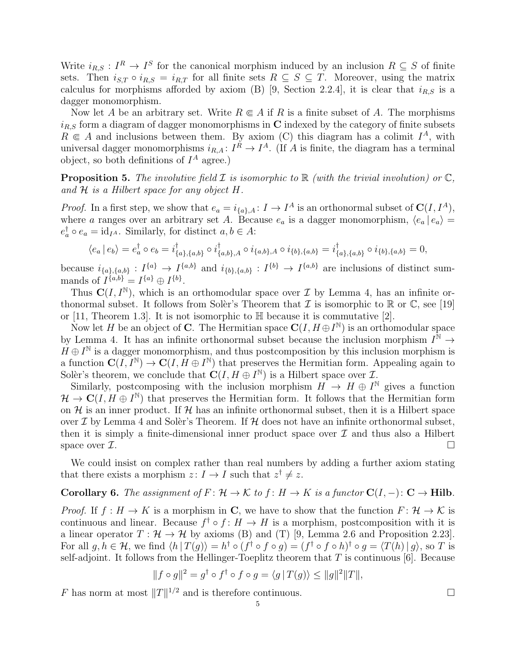Write  $i_{R,S}: I^R \to I^S$  for the canonical morphism induced by an inclusion  $R \subseteq S$  of finite sets. Then  $i_{S,T} \circ i_{R,S} = i_{R,T}$  for all finite sets  $R \subseteq S \subseteq T$ . Moreover, using the matrix calculus for morphisms afforded by axiom (B) [9, Section 2.2.4], it is clear that  $i_{R,S}$  is a dagger monomorphism.

Now let A be an arbitrary set. Write  $R \in A$  if R is a finite subset of A. The morphisms  $i_{R,S}$  form a diagram of dagger monomorphisms in C indexed by the category of finite subsets  $R \in A$  and inclusions between them. By axiom (C) this diagram has a colimit  $I^A$ , with universal dagger monomorphisms  $i_{R,A}: I^R \to I^A$ . (If A is finite, the diagram has a terminal object, so both definitions of  $I^A$  agree.)

**Proposition 5.** The involutive field  $\mathcal I$  is isomorphic to  $\mathbb R$  (with the trivial involution) or  $\mathbb C$ , and  $H$  is a Hilbert space for any object  $H$ .

*Proof.* In a first step, we show that  $e_a = i_{\{a\},A} : I \to I^A$  is an orthonormal subset of  $\mathbb{C}(I, I^A)$ , where a ranges over an arbitrary set A. Because  $e_a$  is a dagger monomorphism,  $\langle e_a | e_a \rangle =$  $e_a^{\dagger} \circ e_a = \text{id}_{I^A}$ . Similarly, for distinct  $a, b \in A$ :

$$
\langle e_a | e_b \rangle = e_a^{\dagger} \circ e_b = i^{\dagger}_{\{a\},\{a,b\}} \circ i^{\dagger}_{\{a,b\},A} \circ i_{\{a,b\},A} \circ i_{\{b\},\{a,b\}} = i^{\dagger}_{\{a\},\{a,b\}} \circ i_{\{b\},\{a,b\}} = 0,
$$

because  $i_{\{a\},\{a,b\}}: I^{\{a\}} \to I^{\{a,b\}}$  and  $i_{\{b\},\{a,b\}}: I^{\{b\}} \to I^{\{a,b\}}$  are inclusions of distinct summands of  $I^{\{a,b\}} = I^{\{a\}} \oplus I^{\{b\}}$ .

Thus  $\mathbf{C}(I, I^{\mathbb{N}})$ , which is an orthomodular space over  $\mathcal I$  by Lemma 4, has an infinite orthonormal subset. It follows from Soler's Theorem that  $\mathcal I$  is isomorphic to  $\mathbb R$  or  $\mathbb C$ , see [19] or [11, Theorem 1.3]. It is not isomorphic to  $\mathbb H$  because it is commutative [2].

Now let H be an object of C. The Hermitian space  $\mathbf{C}(I, H \oplus I^{\mathbb{N}})$  is an orthomodular space by Lemma 4. It has an infinite orthonormal subset because the inclusion morphism  $I^{\tilde{N}} \to$  $H \oplus I^{\mathbb{N}}$  is a dagger monomorphism, and thus postcomposition by this inclusion morphism is a function  $\mathbf{C}(\widetilde{I},\widetilde{I}^{\mathbb{N}})\to\mathbf{C}(I,\widetilde{H}\oplus I^{\mathbb{N}})$  that preserves the Hermitian form. Appealing again to Solèr's theorem, we conclude that  $\mathbf{C}(I, H \oplus I^{\mathbb{N}})$  is a Hilbert space over  $\mathcal{I}$ .

Similarly, postcomposing with the inclusion morphism  $H \to H \oplus I^{\mathbb{N}}$  gives a function  $\mathcal{H} \to \mathbf{C}(I, H \oplus I^{\mathbb{N}})$  that preserves the Hermitian form. It follows that the Hermitian form on  $\mathcal H$  is an inner product. If  $\mathcal H$  has an infinite orthonormal subset, then it is a Hilbert space over  $\mathcal I$  by Lemma 4 and Solèr's Theorem. If  $\mathcal H$  does not have an infinite orthonormal subset, then it is simply a finite-dimensional inner product space over  $\mathcal I$  and thus also a Hilbert space over  $\mathcal{I}$ .

We could insist on complex rather than real numbers by adding a further axiom stating that there exists a morphism  $z: I \to I$  such that  $z^{\dagger} \neq z$ .

# Corollary 6. The assignment of  $F: \mathcal{H} \to \mathcal{K}$  to  $f: H \to K$  is a functor  $\mathbf{C}(I, -): \mathbf{C} \to \mathbf{Hilb}$ .

*Proof.* If  $f : H \to K$  is a morphism in C, we have to show that the function  $F : \mathcal{H} \to \mathcal{K}$  is continuous and linear. Because  $f^{\dagger} \circ f : H \to H$  is a morphism, postcomposition with it is a linear operator  $T : \mathcal{H} \to \mathcal{H}$  by axioms (B) and (T) [9, Lemma 2.6 and Proposition 2.23]. For all  $g, h \in \mathcal{H}$ , we find  $\langle h | T(g) \rangle = h^{\dagger} \circ (f^{\dagger} \circ f \circ g) = (f^{\dagger} \circ f \circ h)^{\dagger} \circ g = \langle T(h) | g \rangle$ , so T is self-adjoint. It follows from the Hellinger-Toeplitz theorem that  $T$  is continuous [6]. Because

$$
||f \circ g||^2 = g^{\dagger} \circ f^{\dagger} \circ f \circ g = \langle g | T(g) \rangle \le ||g||^2 ||T||,
$$

F has norm at most  $||T||^{1/2}$  and is therefore continuous.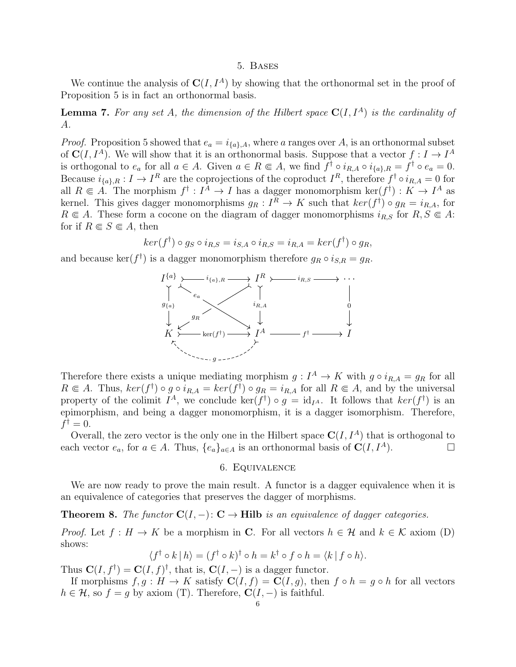### 5. Bases

We continue the analysis of  $C(I, I^A)$  by showing that the orthonormal set in the proof of Proposition 5 is in fact an orthonormal basis.

**Lemma 7.** For any set A, the dimension of the Hilbert space  $C(I, I^A)$  is the cardinality of A.

*Proof.* Proposition 5 showed that  $e_a = i_{\{a\},A}$ , where a ranges over A, is an orthonormal subset of  $\mathbf{C}(I, I^A)$ . We will show that it is an orthonormal basis. Suppose that a vector  $f : I \to I^A$ is orthogonal to  $e_a$  for all  $a \in A$ . Given  $a \in R \subseteq A$ , we find  $f^{\dagger} \circ i_{R,A} \circ i_{\{a\},R} = f^{\dagger} \circ e_a = 0$ . Because  $i_{\{a\},R}: I \to I^R$  are the coprojections of the coproduct  $I^R$ , therefore  $f^{\dagger} \circ i_{R,A} = 0$  for all  $R \in A$ . The morphism  $f^{\dagger}: I^A \to I$  has a dagger monomorphism ker $(f^{\dagger}): K \to I^A$  as kernel. This gives dagger monomorphisms  $g_R: I^R \to K$  such that  $ker(f^{\dagger}) \circ g_R = i_{R,A}$ , for  $R \in A$ . These form a cocone on the diagram of dagger monomorphisms  $i_{R,S}$  for  $R, S \in A$ : for if  $R \in S \in A$ , then

$$
ker(f^{\dagger}) \circ g_S \circ i_{R,S} = i_{S,A} \circ i_{R,S} = i_{R,A} = ker(f^{\dagger}) \circ g_R,
$$

and because ker( $f^{\dagger}$ ) is a dagger monomorphism therefore  $g_R \circ i_{S,R} = g_R$ .



Therefore there exists a unique mediating morphism  $g: I^A \to K$  with  $g \circ i_{R,A} = g_R$  for all  $R \in A$ . Thus,  $ker(f^{\dagger}) \circ g \circ i_{R,A} = ker(f^{\dagger}) \circ g_R = i_{R,A}$  for all  $R \in A$ , and by the universal property of the colimit  $I^A$ , we conclude  $\ker(f^{\dagger}) \circ g = id_{I^A}$ . It follows that  $\ker(f^{\dagger})$  is an epimorphism, and being a dagger monomorphism, it is a dagger isomorphism. Therefore,  $f^{\dagger} = 0.$ 

Overall, the zero vector is the only one in the Hilbert space  $C(I, I^A)$  that is orthogonal to each vector  $e_a$ , for  $a \in A$ . Thus,  $\{e_a\}_{a \in A}$  is an orthonormal basis of  $\mathbf{C}(I, I^A)$ .

### 6. Equivalence

We are now ready to prove the main result. A functor is a dagger equivalence when it is an equivalence of categories that preserves the dagger of morphisms.

**Theorem 8.** The functor  $C(I, -): C \rightarrow Hilb$  is an equivalence of dagger categories.

*Proof.* Let  $f : H \to K$  be a morphism in C. For all vectors  $h \in H$  and  $k \in K$  axiom (D) shows:

$$
\langle f^{\dagger} \circ k | h \rangle = (f^{\dagger} \circ k)^{\dagger} \circ h = k^{\dagger} \circ f \circ h = \langle k | f \circ h \rangle.
$$

Thus  $\mathbf{C}(I, f^{\dagger}) = \mathbf{C}(I, f)^{\dagger}$ , that is,  $\mathbf{C}(I, -)$  is a dagger functor.

If morphisms  $f, g : H \to K$  satisfy  $\mathbf{C}(I, f) = \mathbf{C}(I, g)$ , then  $f \circ h = g \circ h$  for all vectors  $h \in \mathcal{H}$ , so  $f = g$  by axiom (T). Therefore,  $\mathbf{C}(I, -)$  is faithful.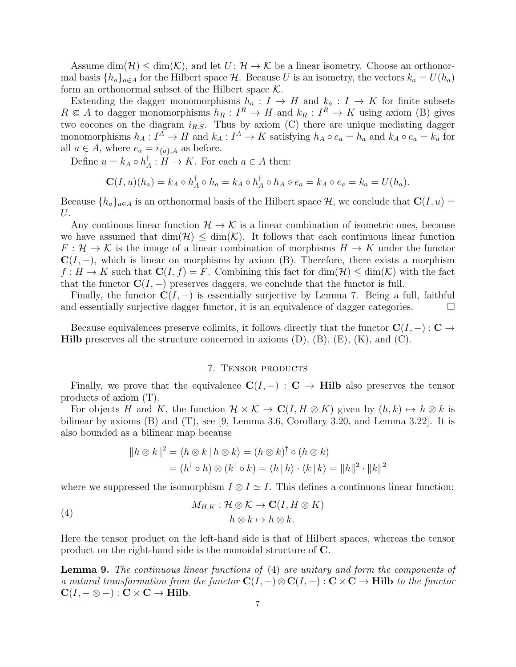Assume  $\dim(\mathcal{H}) \leq \dim(\mathcal{K})$ , and let  $U: \mathcal{H} \to \mathcal{K}$  be a linear isometry. Choose an orthonormal basis  $\{h_a\}_{a\in A}$  for the Hilbert space H. Because U is an isometry, the vectors  $k_a = U(h_a)$ form an orthonormal subset of the Hilbert space  $K$ .

Extending the dagger monomorphisms  $h_a: I \to H$  and  $k_a: I \to K$  for finite subsets  $R \in A$  to dagger monomorphisms  $h_R : I^R \to H$  and  $k_R : I^R \to K$  using axiom (B) gives two cocones on the diagram  $i_{R,S}$ . Thus by axiom (C) there are unique mediating dagger monomorphisms  $h_A: I^A \to H$  and  $k_A: I^A \to K$  satisfying  $h_A \circ e_a = h_a$  and  $k_A \circ e_a = k_a$  for all  $a \in A$ , where  $e_a = i_{\{a\},A}$  as before.

Define  $u = k_A \circ h_A^{\dagger}$  $A^{\dagger}$  :  $H \to K$ . For each  $a \in A$  then:

$$
\mathbf{C}(I, u)(h_a) = k_A \circ h_A^{\dagger} \circ h_a = k_A \circ h_A^{\dagger} \circ h_A \circ e_a = k_A \circ e_a = k_a = U(h_a).
$$

Because  $\{h_a\}_{a\in A}$  is an orthonormal basis of the Hilbert space H, we conclude that  $\mathbf{C}(I, u) =$ U.

Any continous linear function  $\mathcal{H} \to \mathcal{K}$  is a linear combination of isometric ones, because we have assumed that  $\dim(\mathcal{H}) \leq \dim(\mathcal{K})$ . It follows that each continuous linear function  $F: \mathcal{H} \to \mathcal{K}$  is the image of a linear combination of morphisms  $H \to K$  under the functor  $C(I, -)$ , which is linear on morphisms by axiom (B). Therefore, there exists a morphism  $f: H \to K$  such that  $\mathbf{C}(I, f) = F$ . Combining this fact for  $\dim(\mathcal{H}) \leq \dim(\mathcal{K})$  with the fact that the functor  $C(I, -)$  preserves daggers, we conclude that the functor is full.

Finally, the functor  $C(I, -)$  is essentially surjective by Lemma 7. Being a full, faithful and essentially surjective dagger functor, it is an equivalence of dagger categories.  $\Box$ 

Because equivalences preserve colimits, it follows directly that the functor  $\mathbf{C}(I, -): \mathbf{C} \rightarrow$ **Hilb** preserves all the structure concerned in axioms  $(D)$ ,  $(B)$ ,  $(E)$ ,  $(K)$ , and  $(C)$ .

#### 7. Tensor products

Finally, we prove that the equivalence  $C(I, -) : C \to Hilb$  also preserves the tensor products of axiom (T).

For objects H and K, the function  $\mathcal{H} \times \mathcal{K} \to \mathbb{C}(I, H \otimes K)$  given by  $(h, k) \mapsto h \otimes k$  is bilinear by axioms (B) and (T), see [9, Lemma 3.6, Corollary 3.20, and Lemma 3.22]. It is also bounded as a bilinear map because

$$
||h \otimes k||^2 = \langle h \otimes k | h \otimes k \rangle = (h \otimes k)^{\dagger} \circ (h \otimes k)
$$
  
=  $(h^{\dagger} \circ h) \otimes (k^{\dagger} \circ k) = \langle h | h \rangle \cdot \langle k | k \rangle = ||h||^2 \cdot ||k||^2$ 

where we suppressed the isomorphism  $I \otimes I \simeq I$ . This defines a continuous linear function:

(4) 
$$
M_{H,K}: \mathcal{H} \otimes \mathcal{K} \to \mathbf{C}(I, H \otimes K) h \otimes k \mapsto h \otimes k.
$$

Here the tensor product on the left-hand side is that of Hilbert spaces, whereas the tensor product on the right-hand side is the monoidal structure of C.

Lemma 9. The continuous linear functions of (4) are unitary and form the components of a natural transformation from the functor  $\mathbf{C}(I, -) \otimes \mathbf{C}(I, -) : \mathbf{C} \times \mathbf{C} \to \mathbf{Hilb}$  to the functor  $C(I, -\otimes -): C \times C \rightarrow Hilb.$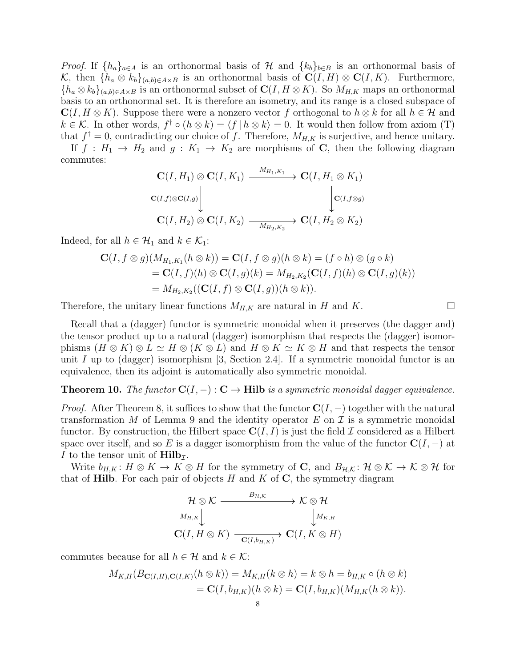*Proof.* If  $\{h_a\}_{a\in A}$  is an orthonormal basis of H and  $\{k_b\}_{b\in B}$  is an orthonormal basis of K, then  $\{h_a \otimes k_b\}_{(a,b)\in A\times B}$  is an orthonormal basis of  $\mathbf{C}(I, H) \otimes \mathbf{C}(I, K)$ . Furthermore,  ${h_a \otimes k_b}_{(a,b)\in A\times B}$  is an orthonormal subset of  $\mathbb{C}(I, H \otimes K)$ . So  $M_{H,K}$  maps an orthonormal basis to an orthonormal set. It is therefore an isometry, and its range is a closed subspace of  $\mathbf{C}(I, H \otimes K)$ . Suppose there were a nonzero vector f orthogonal to  $h \otimes k$  for all  $h \in \mathcal{H}$  and  $k \in \mathcal{K}$ . In other words,  $f^{\dagger} \circ (h \otimes k) = \langle f | h \otimes k \rangle = 0$ . It would then follow from axiom (T) that  $f^{\dagger} = 0$ , contradicting our choice of f. Therefore,  $M_{H,K}$  is surjective, and hence unitary.

If  $f : H_1 \to H_2$  and  $g : K_1 \to K_2$  are morphisms of C, then the following diagram commutes:

$$
\mathbf{C}(I, H_1) \otimes \mathbf{C}(I, K_1) \xrightarrow{M_{H_1, K_1}} \mathbf{C}(I, H_1 \otimes K_1)
$$
  
\n
$$
\mathbf{C}(I, J) \otimes \mathbf{C}(I, g) \downarrow \qquad \qquad \downarrow \mathbf{C}(I, K_2) \longrightarrow \mathbf{C}(I, H_2 \otimes K_2)
$$

Indeed, for all  $h \in \mathcal{H}_1$  and  $k \in \mathcal{K}_1$ :

$$
\mathbf{C}(I, f \otimes g)(M_{H_1,K_1}(h \otimes k)) = \mathbf{C}(I, f \otimes g)(h \otimes k) = (f \circ h) \otimes (g \circ k)
$$
  
= 
$$
\mathbf{C}(I, f)(h) \otimes \mathbf{C}(I, g)(k) = M_{H_2,K_2}(\mathbf{C}(I, f)(h) \otimes \mathbf{C}(I, g)(k))
$$
  
= 
$$
M_{H_2,K_2}((\mathbf{C}(I, f) \otimes \mathbf{C}(I, g))(h \otimes k)).
$$

Therefore, the unitary linear functions  $M_{H,K}$  are natural in H and K.

Recall that a (dagger) functor is symmetric monoidal when it preserves (the dagger and) the tensor product up to a natural (dagger) isomorphism that respects the (dagger) isomorphisms  $(H \otimes K) \otimes L \simeq H \otimes (K \otimes L)$  and  $H \otimes K \simeq K \otimes H$  and that respects the tensor unit I up to (dagger) isomorphism  $[3, \text{Section 2.4}]$ . If a symmetric monoidal functor is an equivalence, then its adjoint is automatically also symmetric monoidal.

# **Theorem 10.** The functor  $C(I, -): C \to Hilb$  is a symmetric monoidal dagger equivalence.

*Proof.* After Theorem 8, it suffices to show that the functor  $C(I, -)$  together with the natural transformation M of Lemma 9 and the identity operator E on  $\mathcal I$  is a symmetric monoidal functor. By construction, the Hilbert space  $C(I, I)$  is just the field  $I$  considered as a Hilbert space over itself, and so E is a dagger isomorphism from the value of the functor  $\mathbf{C}(I, -)$  at I to the tensor unit of  $\text{Hilb}_{\mathcal{I}}$ .

Write  $b_{H,K}$ :  $H \otimes K \to K \otimes H$  for the symmetry of **C**, and  $B_{H,K}$ :  $H \otimes K \to K \otimes H$  for that of **Hilb**. For each pair of objects  $H$  and  $K$  of  $C$ , the symmetry diagram

$$
\mathcal{H} \otimes \mathcal{K} \xrightarrow{\qquad B_{\mathcal{H},\mathcal{K}}} \mathcal{K} \otimes \mathcal{H}
$$
\n
$$
\downarrow^{M_{H,K}} \downarrow \qquad \qquad \downarrow^{M_{K,H}}
$$
\n
$$
\mathbf{C}(I, H \otimes K) \xrightarrow{\qquad \qquad } \mathbf{C}(I, h_{H,K}) \rightarrow \mathbf{C}(I, K \otimes H)
$$

commutes because for all  $h \in \mathcal{H}$  and  $k \in \mathcal{K}$ :

$$
M_{K,H}(B_{\mathbf{C}(I,H),\mathbf{C}(I,K)}(h \otimes k)) = M_{K,H}(k \otimes h) = k \otimes h = b_{H,K} \circ (h \otimes k)
$$
  
= 
$$
\mathbf{C}(I, b_{H,K})(h \otimes k) = \mathbf{C}(I, b_{H,K})(M_{H,K}(h \otimes k)).
$$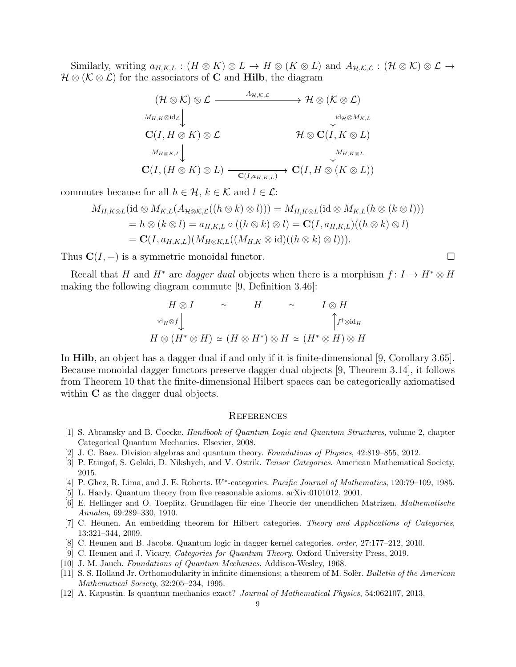Similarly, writing  $a_{H,K,L} : (H \otimes K) \otimes L \to H \otimes (K \otimes L)$  and  $A_{H,K,L} : (\mathcal{H} \otimes K) \otimes L \to$  $\mathcal{H} \otimes (\mathcal{K} \otimes \mathcal{L})$  for the associators of **C** and **Hilb**, the diagram

$$
(\mathcal{H}\otimes\mathcal{K})\otimes\mathcal{L} \xrightarrow{\qquad A_{\mathcal{H},\mathcal{K},\mathcal{L}}}\mathcal{H}\otimes(\mathcal{K}\otimes\mathcal{L})
$$
\n
$$
\downarrow_{H,\mathcal{K}}\otimes\mathrm{id}_{\mathcal{L}}\downarrow\qquad\qquad\downarrow_{\mathrm{id}_{\mathcal{H}}\otimes M_{K,L}}\n\mathbf{C}(I, H\otimes K)\otimes\mathcal{L}\qquad\qquad\mathcal{H}\otimes\mathbf{C}(I, K\otimes L)\downarrow_{H_{\mathcal{H}}\otimes\mathcal{K}}\n\downarrow_{\mathcal{H}_{\mathcal{H}}\otimes\mathcal{L}}\n\mathbf{C}(I, (H\otimes K)\otimes L)\xrightarrow{\qquad \qquad \qquad }\mathbf{C}(I, H\otimes (K\otimes L))
$$

commutes because for all  $h \in \mathcal{H}$ ,  $k \in \mathcal{K}$  and  $l \in \mathcal{L}$ :

$$
M_{H,K\otimes L}(\text{id}\otimes M_{K,L}(A_{\mathcal{H}\otimes K,\mathcal{L}}((h\otimes k)\otimes l))) = M_{H,K\otimes L}(\text{id}\otimes M_{K,L}(h\otimes (k\otimes l)))
$$
  
=  $h\otimes (k\otimes l) = a_{H,K,L}\circ ((h\otimes k)\otimes l) = \mathbf{C}(I,a_{H,K,L})((h\otimes k)\otimes l)$   
=  $\mathbf{C}(I,a_{H,K,L})(M_{H\otimes K,L}((M_{H,K}\otimes \text{id})((h\otimes k)\otimes l))).$ 

Thus  $C(I, -)$  is a symmetric monoidal functor.  $\square$ 

Recall that H and  $H^*$  are dagger dual objects when there is a morphism  $f: I \to H^* \otimes H$ making the following diagram commute [9, Definition 3.46]:

$$
H \otimes I \qquad \simeq \qquad H \qquad \simeq \qquad I \otimes H
$$
  
\n
$$
\operatorname{id}_H \otimes f \downarrow \qquad \qquad \uparrow f^{\dagger} \otimes \operatorname{id}_H
$$
  
\n
$$
H \otimes (H^* \otimes H) \simeq (H \otimes H^*) \otimes H \simeq (H^* \otimes H) \otimes H
$$

In Hilb, an object has a dagger dual if and only if it is finite-dimensional [9, Corollary 3.65]. Because monoidal dagger functors preserve dagger dual objects [9, Theorem 3.14], it follows from Theorem 10 that the finite-dimensional Hilbert spaces can be categorically axiomatised within **C** as the dagger dual objects.

### **REFERENCES**

- [1] S. Abramsky and B. Coecke. Handbook of Quantum Logic and Quantum Structures, volume 2, chapter Categorical Quantum Mechanics. Elsevier, 2008.
- [2] J. C. Baez. Division algebras and quantum theory. Foundations of Physics, 42:819–855, 2012.
- [3] P. Etingof, S. Gelaki, D. Nikshych, and V. Ostrik. *Tensor Categories*. American Mathematical Society, 2015.
- [4] P. Ghez, R. Lima, and J. E. Roberts. W<sup>\*</sup>-categories. Pacific Journal of Mathematics, 120:79–109, 1985.
- [5] L. Hardy. Quantum theory from five reasonable axioms. arXiv:0101012, 2001.
- [6] E. Hellinger and O. Toeplitz. Grundlagen für eine Theorie der unendlichen Matrizen. Mathematische Annalen, 69:289–330, 1910.
- [7] C. Heunen. An embedding theorem for Hilbert categories. Theory and Applications of Categories, 13:321–344, 2009.
- [8] C. Heunen and B. Jacobs. Quantum logic in dagger kernel categories. order, 27:177–212, 2010.
- [9] C. Heunen and J. Vicary. Categories for Quantum Theory. Oxford University Press, 2019.
- [10] J. M. Jauch. Foundations of Quantum Mechanics. Addison-Wesley, 1968.
- [11] S. S. Holland Jr. Orthomodularity in infinite dimensions; a theorem of M. Solèr. Bulletin of the American Mathematical Society, 32:205–234, 1995.
- [12] A. Kapustin. Is quantum mechanics exact? Journal of Mathematical Physics, 54:062107, 2013.